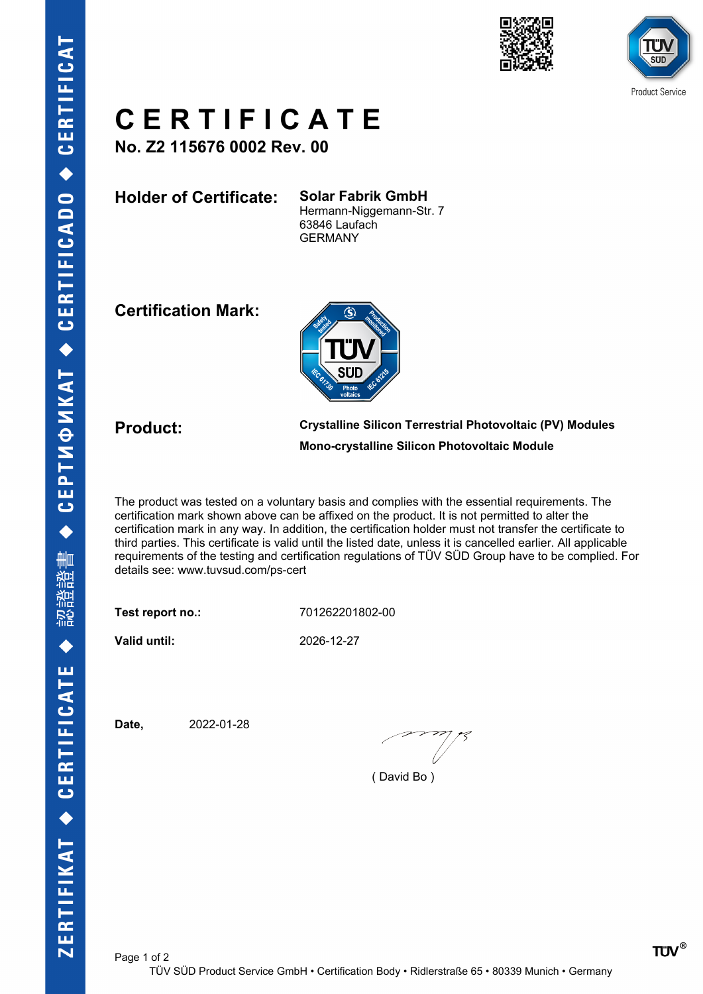



## **C E R T I F I C A T E**

**No. Z2 115676 0002 Rev. 00**

**Holder of Certificate: Solar Fabrik GmbH**

Hermann-Niggemann-Str. 7 63846 Laufach GERMANY

**Certification Mark:**



**Product: Crystalline Silicon Terrestrial Photovoltaic (PV) Modules Mono-crystalline Silicon Photovoltaic Module**

The product was tested on a voluntary basis and complies with the essential requirements. The certification mark shown above can be affixed on the product. It is not permitted to alter the certification mark in any way. In addition, the certification holder must not transfer the certificate to third parties. This certificate is valid until the listed date, unless it is cancelled earlier. All applicable requirements of the testing and certification regulations of TÜV SÜD Group have to be complied. For details see: www.tuvsud.com/ps-cert

**Test report no.:** 701262201802-00

**Valid until:** 2026-12-27

**Date,** 2022-01-28

( David Bo )